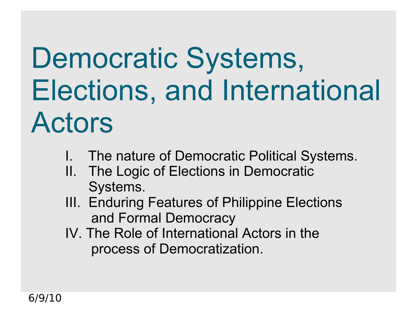## Democratic Systems, Elections, and International Actors

- I. The nature of Democratic Political Systems.
	- II. The Logic of Elections in Democratic Systems.
	- III. Enduring Features of Philippine Elections and Formal Democracy
	- IV. The Role of International Actors in the process of Democratization.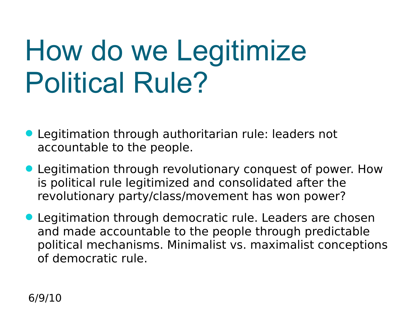## How do we Legitimize Political Rule?

- Legitimation through authoritarian rule: leaders not accountable to the people.
- Legitimation through revolutionary conquest of power. How is political rule legitimized and consolidated after the revolutionary party/class/movement has won power?
- Legitimation through democratic rule. Leaders are chosen and made accountable to the people through predictable political mechanisms. Minimalist vs. maximalist conceptions of democratic rule.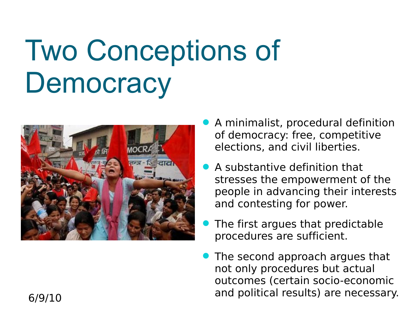#### Two Conceptions of **Democracy**



- A minimalist, procedural definition of democracy: free, competitive elections, and civil liberties.
- A substantive definition that stresses the empowerment of the people in advancing their interests and contesting for power.
- The first argues that predictable procedures are sufficient.
- The second approach argues that not only procedures but actual outcomes (certain socio-economic and political results) are necessary.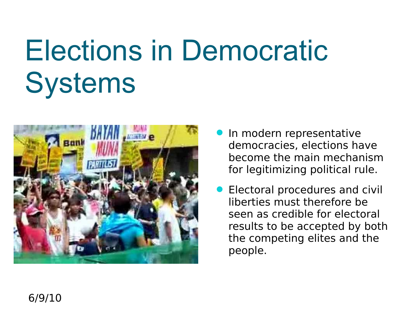# Elections in Democratic **Systems**



- **In modern representative** democracies, elections have become the main mechanism for legitimizing political rule.
- **Electoral procedures and civil** liberties must therefore be seen as credible for electoral results to be accepted by both the competing elites and the people.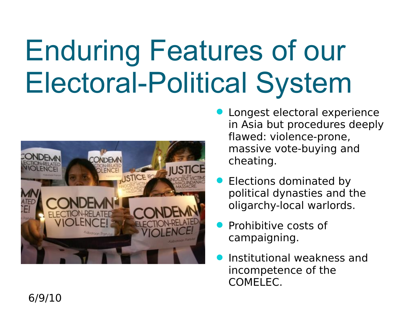## Enduring Features of our Electoral-Political System



- Longest electoral experience in Asia but procedures deeply flawed: violence-prone, massive vote-buying and cheating.
- Elections dominated by political dynasties and the oligarchy-local warlords.
- Prohibitive costs of campaigning.
- Institutional weakness and incompetence of the COMELEC.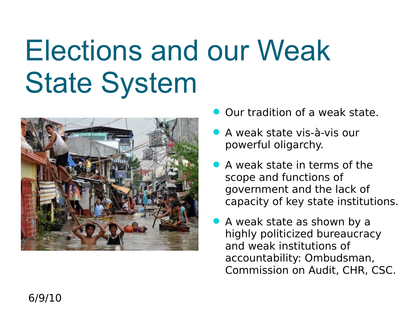#### Elections and our Weak State System



- Our tradition of a weak state.
- A weak state vis-à-vis our powerful oligarchy.
- A weak state in terms of the scope and functions of government and the lack of capacity of key state institutions.
- A weak state as shown by a highly politicized bureaucracy and weak institutions of accountability: Ombudsman, Commission on Audit, CHR, CSC.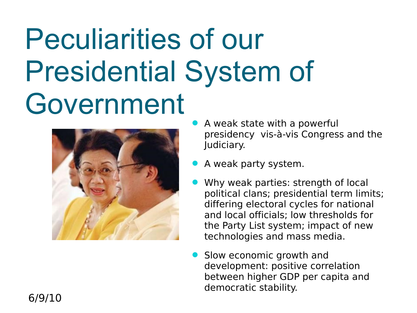#### Peculiarities of our Presidential System of Government



- A weak state with a powerful presidency vis-à-vis Congress and the Judiciary.
- A weak party system.
- Why weak parties: strength of local political clans; presidential term limits; differing electoral cycles for national and local officials; low thresholds for the Party List system; impact of new technologies and mass media.
- Slow economic growth and development: positive correlation between higher GDP per capita and democratic stability.